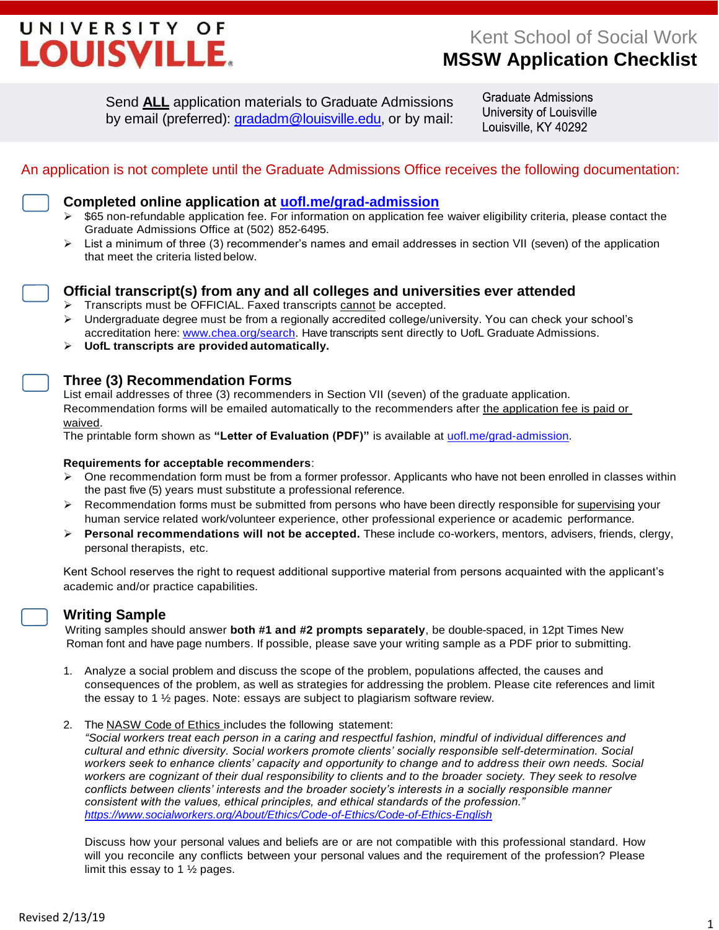# UNIVERSITY OF LOUISVILLE.

Send **ALL** application materials to Graduate Admissions by email (preferred): [gradadm@louisville.edu,](mailto:gradadm@louisville.edu) or by mail: **Graduate Admissions** University of Louisville Louisville, KY 40292

# An application is not complete until the Graduate Admissions Office receives the following documentation:

- **Completed online application at [uofl.me/grad-admission](http://louisville.edu/graduate/futurestudents/apply-materials/application)**
- $\triangleright$  \$65 non-refundable application fee. For information on application fee waiver eligibility criteria, please contact the Graduate Admissions Office at (502) 852-6495.
- > List a minimum of three (3) recommender's names and email addresses in section VII (seven) of the application that meet the criteria listed below.



**Official transcript(s) from any and all colleges and universities ever attended**

- $\triangleright$  Transcripts must be OFFICIAL. Faxed transcripts cannot be accepted.
- Undergraduate degree must be from a regionally accredited college/university. You can check your school's accreditation here[: www.chea.org/search.](http://www.chea.org/search) Have transcripts sent directly to UofL Graduate Admissions.
- **UofL transcripts are provided automatically.**

# **Three (3) Recommendation Forms**

List email addresses of three (3) recommenders in Section VII (seven) of the graduate application. Recommendation forms will be emailed automatically to the recommenders after the application fee is paid or waived.

The printable form shown as **"Letter of Evaluation (PDF)"** is available at [uofl.me/grad-admission.](http://louisville.edu/graduate/futurestudents/apply-materials/application)

#### **Requirements for acceptable recommenders**:

- $\triangleright$  One recommendation form must be from a former professor. Applicants who have not been enrolled in classes within the past five (5) years must substitute a professional reference.
- Recommendation forms must be submitted from persons who have been directly responsible for supervising your human service related work/volunteer experience, other professional experience or academic performance.
- **Personal recommendations will not be accepted.** These include co-workers, mentors, advisers, friends, clergy, personal therapists, etc.

Kent School reserves the right to request additional supportive material from persons acquainted with the applicant's academic and/or practice capabilities.

# **Writing Sample**

 Writing samples should answer **both #1 and #2 prompts separately**, be double-spaced, in 12pt Times New Roman font and have page numbers. If possible, please save your writing sample as a PDF prior to submitting.

- 1. Analyze a social problem and discuss the scope of the problem, populations affected, the causes and consequences of the problem, as well as strategies for addressing the problem. Please cite references and limit the essay to 1 ½ pages. Note: essays are subject to plagiarism software review.
- 2. The NASW Code of Ethics includes the following statement:

*"Social workers treat each person in a caring and respectful fashion, mindful of individual differences and cultural and ethnic diversity. Social workers promote clients' socially responsible self-determination. Social workers seek to enhance clients' capacity and opportunity to change and to address their own needs. Social workers are cognizant of their dual responsibility to clients and to the broader society. They seek to resolve conflicts between clients' interests and the broader society's interests in a socially responsible manner consistent with the values, ethical principles, and ethical standards of the profession." <https://www.socialworkers.org/About/Ethics/Code-of-Ethics/Code-of-Ethics-English>*

Discuss how your personal values and beliefs are or are not compatible with this professional standard. How will you reconcile any conflicts between your personal values and the requirement of the profession? Please limit this essay to 1 ½ pages.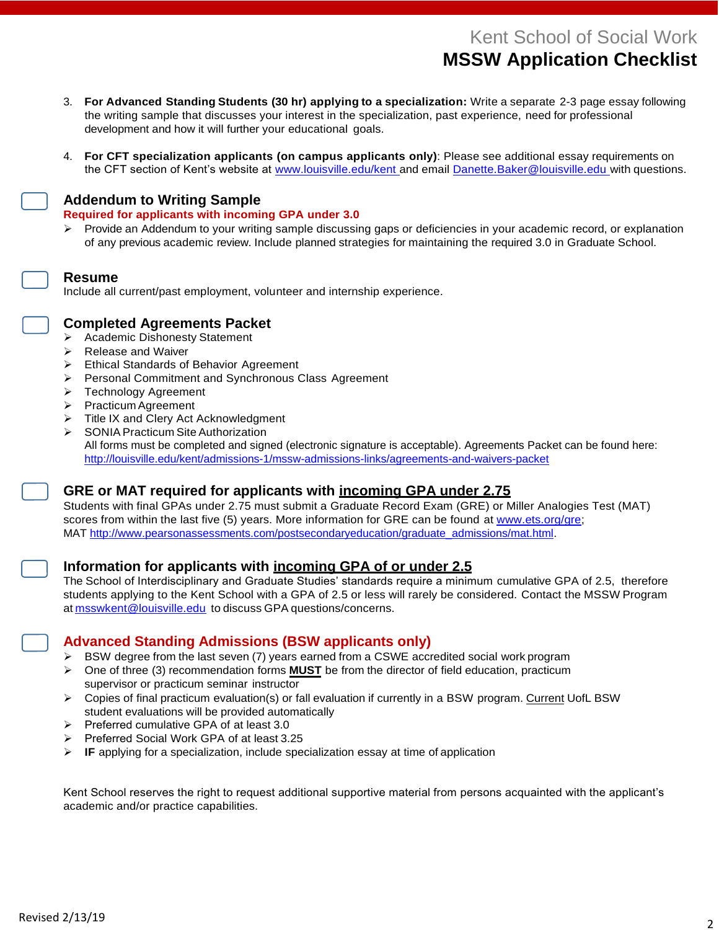# Kent School of Social Work **MSSW Application Checklist**

- 3. **For Advanced Standing Students (30 hr) applying to a specialization:** Write a separate 2-3 page essay following the writing sample that discusses your interest in the specialization, past experience, need for professional development and how it will further your educational goals.
- 4. **For CFT specialization applicants (on campus applicants only)**: Please see additional essay requirements on the CFT section of Kent's website at [www.louisville.edu/kent a](http://www.louisville.edu/kent)nd email [Danette.Baker@louisville.edu w](mailto:Danette.Baker@louisville.edu)ith questions.

# **Addendum to Writing Sample**

#### **Required for applicants with incoming GPA under 3.0**

 $\triangleright$  Provide an Addendum to your writing sample discussing gaps or deficiencies in your academic record, or explanation of any previous academic review. Include planned strategies for maintaining the required 3.0 in Graduate School.

#### **Resume**

Include all current/past employment, volunteer and internship experience.



#### **Completed Agreements Packet**

- **▶ Academic Dishonesty Statement**
- $\triangleright$  Release and Waiver
- Ethical Standards of Behavior Agreement
- Personal Commitment and Synchronous Class Agreement
- > Technology Agreement
- **Practicum Agreement**
- Title IX and Clery Act Acknowledgment
- SONIA Practicum Site Authorization All forms must be completed and signed (electronic signature is acceptable). Agreements Packet can be found here: <http://louisville.edu/kent/admissions-1/mssw-admissions-links/agreements-and-waivers-packet>

# **GRE or MAT required for applicants with incoming GPA under 2.75**

Students with final GPAs under 2.75 must submit a Graduate Record Exam (GRE) or Miller Analogies Test (MAT) scores from within the last five (5) years. More information for GRE can be found at [www.ets.org/gre;](http://www.ets.org/gre) MAT [http://www.pearsonassessments.com/postsecondaryeducation/graduate\\_admissions/mat.html.](https://www.pearsonassessments.com/postsecondaryeducation/graduate_admissions/mat.html)

#### **Information for applicants with incoming GPA of or under 2.5**

The School of Interdisciplinary and Graduate Studies' standards require a minimum cumulative GPA of 2.5, therefore students applying to the Kent School with a GPA of 2.5 or less will rarely be considered. [Contact](mailto:sarah.caragianis@louisville.edu) the MSSW Program at [msswkent@louisville.edu](mailto:msswkent@louisville.edu) to discuss GPA questions/concerns.

#### **Advanced Standing Admissions (BSW applicants only)**

- $\triangleright$  BSW degree from the last seven (7) years earned from a CSWE accredited social work program
- One of three (3) recommendation forms **MUST** be from the director of field education, practicum supervisor or practicum seminar instructor
- $\triangleright$  Copies of final practicum evaluation(s) or fall evaluation if currently in a BSW program. Current UofL BSW student evaluations will be provided automatically
- Preferred cumulative GPA of at least 3.0
- Preferred Social Work GPA of at least 3.25
- **E** IF applying for a specialization, include specialization essay at time of application

Kent School reserves the right to request additional supportive material from persons acquainted with the applicant's academic and/or practice capabilities.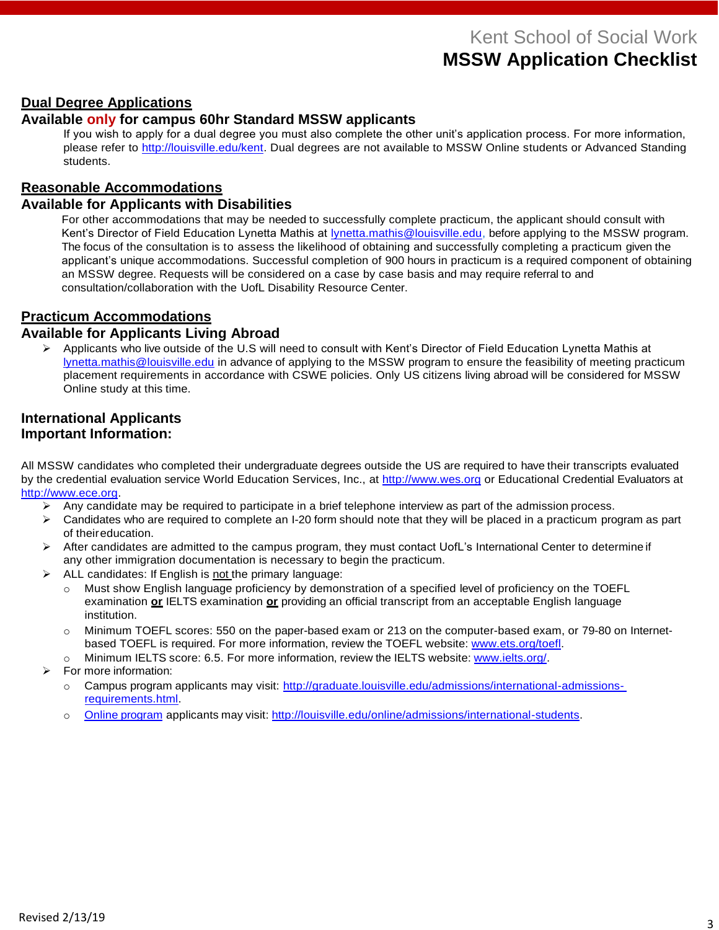# Kent School of Social Work **MSSW Application Checklist**

### **Dual Degree Applications**

# **Available only for campus 60hr Standard MSSW applicants**

If you wish to apply for a dual degree you must also complete the other unit's application process. For more information, please refer to [http://louisville.edu/kent.](http://louisville.edu/kent) Dual degrees are not available to MSSW Online students or Advanced Standing students.

# **Reasonable Accommodations**

#### **Available for Applicants with Disabilities**

For other accommodations that may be needed to successfully complete practicum, the applicant should consult with Kent's Director of Field Education Lynetta Mathis at **Iynetta.mathis@louisville.edu**, before applying to the MSSW program. The focus of the consultation is to assess the likelihood of obtaining and successfully completing a practicum given the applicant's unique accommodations. Successful completion of 900 hours in practicum is a required component of obtaining an MSSW degree. Requests will be considered on a case by case basis and may require referral to and consultation/collaboration with the UofL Disability Resource Center.

# **Practicum Accommodations**

#### **Available for Applicants Living Abroad**

 Applicants who live outside of the U.S will need to consult with Kent's Director of Field Education Lynetta Mathis at [lynetta.mathis@louisville.edu](mailto:lynetta.mathis@louisville.edu) in advance of applying to the MSSW program to ensure the feasibility of meeting practicum placement requirements in accordance with CSWE policies. Only US citizens living abroad will be considered for MSSW Online study at this time.

#### **International Applicants Important Information:**

All MSSW candidates who completed their undergraduate degrees outside the US are required to have their transcripts evaluated by the credential evaluation service World Education Services, Inc., at [http://www.wes.org](http://www.wes.org/) or Educational Credential Evaluators at [http://www.ece.org.](http://www.ece.org/)

- $\triangleright$  Any candidate may be required to participate in a brief telephone interview as part of the admission process.
- $\triangleright$  Candidates who are required to complete an I-20 form should note that they will be placed in a practicum program as part of theireducation.
- $\triangleright$  After candidates are admitted to the campus program, they must contact UofL's International Center to determine if any other immigration documentation is necessary to begin the practicum.
- $\triangleright$  ALL candidates: If English is not the primary language:
	- o Must show English language proficiency by demonstration of a specified level of proficiency on the TOEFL examination **or** IELTS examination **or** providing an official transcript from an acceptable English language institution.
	- $\circ$  Minimum TOEFL scores: 550 on the paper-based exam or 213 on the computer-based exam, or 79-80 on Internetbased TOEFL is required. For more information, review the TOEFL website: [www.ets.org/toefl.](https://www.ets.org/toefl)
	- o Minimum IELTS score: 6.5. For more information, review the IELTS website: [www.ielts.org/.](https://www.ielts.org/)
- For more information:
	- o Campus program applicants may visit: [http://graduate.louisville.edu/admissions/international-admissions](http://graduate.louisville.edu/admissions/international-admissions-%20requirements.html)[requirements.html.](http://graduate.louisville.edu/admissions/international-admissions-%20requirements.html)
	- o Online [program](file:///C:/Users/ledorm01/AppData/Local/Microsoft/Windows/INetCache/Content.Outlook/OSS7EKJQ/Online%20program) applicants may visit: [http://louisville.edu/online/admissions/international-students.](http://louisville.edu/online/admissions/international-students)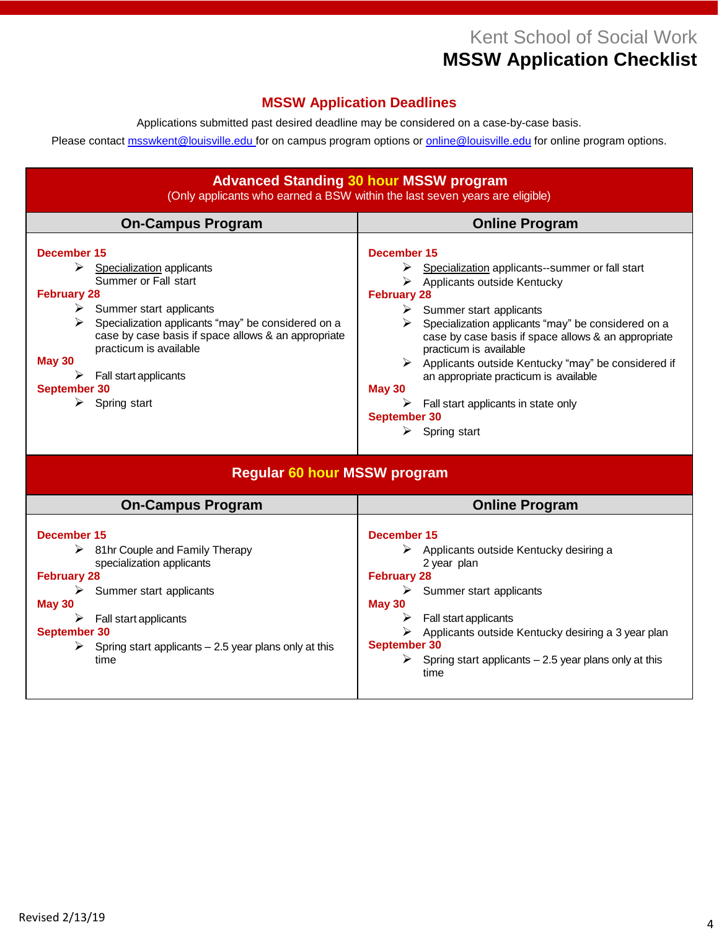# Kent School of Social Work **MSSW Application Checklist**

# **MSSW Application Deadlines**

Applications submitted past desired deadline may be considered on a case-by-case basis.

Please contact **msswkent@louisville.edu** for on campus program options or **online@louisville.edu** for online program options.

| <b>Advanced Standing 30 hour MSSW program</b>                                                                                                                                                                                                                                                                                                                      |                                                                                                                                                                                                                                                                                                                                                                                                                                                                                        |
|--------------------------------------------------------------------------------------------------------------------------------------------------------------------------------------------------------------------------------------------------------------------------------------------------------------------------------------------------------------------|----------------------------------------------------------------------------------------------------------------------------------------------------------------------------------------------------------------------------------------------------------------------------------------------------------------------------------------------------------------------------------------------------------------------------------------------------------------------------------------|
| (Only applicants who earned a BSW within the last seven years are eligible)                                                                                                                                                                                                                                                                                        |                                                                                                                                                                                                                                                                                                                                                                                                                                                                                        |
| <b>On-Campus Program</b>                                                                                                                                                                                                                                                                                                                                           | <b>Online Program</b>                                                                                                                                                                                                                                                                                                                                                                                                                                                                  |
| December 15<br>➤<br>Specialization applicants<br>Summer or Fall start<br><b>February 28</b><br>$\triangleright$ Summer start applicants<br>Specialization applicants "may" be considered on a<br>⋗<br>case by case basis if space allows & an appropriate<br>practicum is available<br><b>May 30</b><br>Fall start applicants<br>September 30<br>Spring start<br>➤ | December 15<br>Specialization applicants--summer or fall start<br>Applicants outside Kentucky<br><b>February 28</b><br>Summer start applicants<br>Specialization applicants "may" be considered on a<br>➤<br>case by case basis if space allows & an appropriate<br>practicum is available<br>Applicants outside Kentucky "may" be considered if<br>an appropriate practicum is available<br><b>May 30</b><br>Fall start applicants in state only<br>September 30<br>Spring start<br>➤ |
| <b>Regular 60 hour MSSW program</b>                                                                                                                                                                                                                                                                                                                                |                                                                                                                                                                                                                                                                                                                                                                                                                                                                                        |
| <b>On-Campus Program</b>                                                                                                                                                                                                                                                                                                                                           | <b>Online Program</b>                                                                                                                                                                                                                                                                                                                                                                                                                                                                  |
| December 15<br>81hr Couple and Family Therapy<br>➤<br>specialization applicants                                                                                                                                                                                                                                                                                    | December 15<br>Applicants outside Kentucky desiring a<br>2 year plan                                                                                                                                                                                                                                                                                                                                                                                                                   |

**February 28**

**September 30**

time

**May 30**

 $\triangleright$  Summer start applicants

 $\triangleright$  Applicants outside Kentucky desiring a 3 year plan

 $\triangleright$  Spring start applicants – 2.5 year plans only at this

 $\triangleright$  Fall start applicants

**February 28**

**September 30**

**May 30**

 $\triangleright$  Summer start applicants

 $\triangleright$  Spring start applicants – 2.5 year plans only at this

 $\triangleright$  Fall start applicants

time